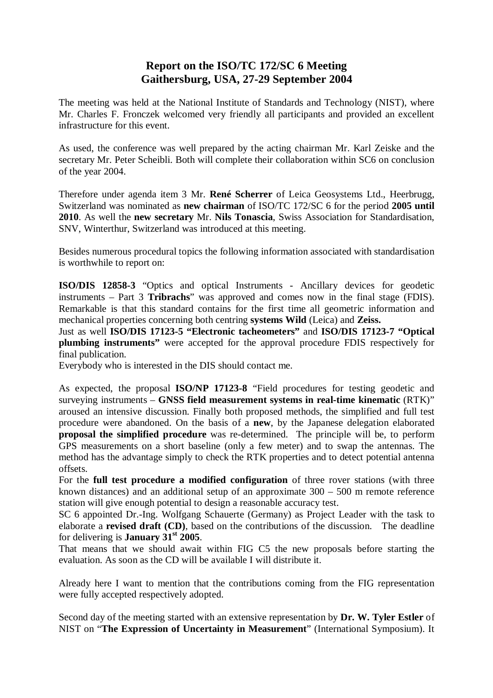## **Report on the ISO/TC 172/SC 6 Meeting Gaithersburg, USA, 27-29 September 2004**

The meeting was held at the National Institute of Standards and Technology (NIST), where Mr. Charles F. Fronczek welcomed very friendly all participants and provided an excellent infrastructure for this event.

As used, the conference was well prepared by the acting chairman Mr. Karl Zeiske and the secretary Mr. Peter Scheibli. Both will complete their collaboration within SC6 on conclusion of the year 2004.

Therefore under agenda item 3 Mr. **René Scherrer** of Leica Geosystems Ltd., Heerbrugg, Switzerland was nominated as **new chairman** of ISO/TC 172/SC 6 for the period **2005 until 2010**. As well the **new secretary** Mr. **Nils Tonascia**, Swiss Association for Standardisation, SNV, Winterthur, Switzerland was introduced at this meeting.

Besides numerous procedural topics the following information associated with standardisation is worthwhile to report on:

**ISO/DIS 12858-3** "Optics and optical Instruments - Ancillary devices for geodetic instruments – Part 3 **Tribrachs**" was approved and comes now in the final stage (FDIS). Remarkable is that this standard contains for the first time all geometric information and mechanical properties concerning both centring **systems Wild** (Leica) and **Zeiss.**

Just as well **ISO/DIS 17123-5 "Electronic tacheometers"** and **ISO/DIS 17123-7 "Optical plumbing instruments"** were accepted for the approval procedure FDIS respectively for final publication.

Everybody who is interested in the DIS should contact me.

As expected, the proposal **ISO/NP 17123-8** "Field procedures for testing geodetic and surveying instruments – **GNSS field measurement systems in real-time kinematic** (RTK)" aroused an intensive discussion. Finally both proposed methods, the simplified and full test procedure were abandoned. On the basis of a **new**, by the Japanese delegation elaborated **proposal the simplified procedure** was re-determined. The principle will be, to perform GPS measurements on a short baseline (only a few meter) and to swap the antennas. The method has the advantage simply to check the RTK properties and to detect potential antenna offsets.

For the **full test procedure a modified configuration** of three rover stations (with three known distances) and an additional setup of an approximate 300 – 500 m remote reference station will give enough potential to design a reasonable accuracy test.

SC 6 appointed Dr.-Ing. Wolfgang Schauerte (Germany) as Project Leader with the task to elaborate a **revised draft (CD)**, based on the contributions of the discussion. The deadline for delivering is **January 31st 2005**.

That means that we should await within FIG C5 the new proposals before starting the evaluation. As soon as the CD will be available I will distribute it.

Already here I want to mention that the contributions coming from the FIG representation were fully accepted respectively adopted.

Second day of the meeting started with an extensive representation by **Dr. W. Tyler Estler** of NIST on "**The Expression of Uncertainty in Measurement**" (International Symposium). It